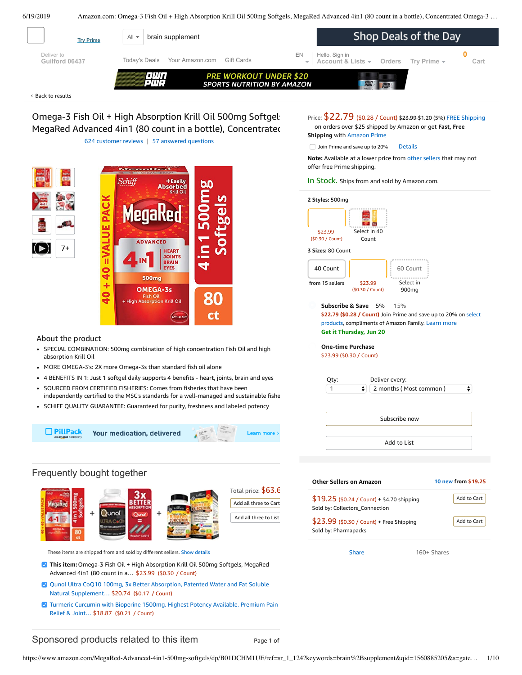<span id="page-0-0"></span>

Back to [results](https://www.amazon.com/s?k=brain+supplement&page=3&qid=1560867507&ref=sr_pg_3) ‹

Omega-3 Fish Oil + High Absorption Krill Oil 500mg Softgels MegaRed Advanced 4in1 (80 count in a bottle), Concentrated 624 [customer](#page-6-0) reviews | 57 answered [questions](#page-6-1)

<u>san sa Babara</u> Schift Softgels **ADVANCED** 7+  $40 + 40 = VA$ **HEART JOINTS**<br>BRAIN **500mg OMEGA-3s** 80 High Absorption Krill Oil . ct  $\int$ 

## About the product

- SPECIAL COMBINATION: 500mg combination of high concentration Fish Oil and high absorption Krill Oil
- MORE OMEGA-3's: 2X more Omega-3s than standard fish oil alone
- 4 BENEFITS IN 1: Just 1 softgel daily supports 4 benefits heart, joints, brain and eyes
- SOURCED FROM CERTIFIED FISHERIES: Comes from fisheries that have been independently certified to the MSC's standards for a well-managed and sustainable fishe
- SCHIFF QUALITY GUARANTEE: Guaranteed for purity, freshness and labeled potency

□ PillPack Your medication, delivered **Learn more** 

# Frequently bought together



These items are shipped from and sold by different sellers. [Show details](javascript:void(0))

- **This item:**Omega-3 Fish Oil + High Absorption Krill Oil 500mg Softgels, MegaRed Advanced 4in1 (80 count in a… \$23.99 (\$0.30 / Count)
- Qunol Ultra CoQ10 100mg, 3x Better Absorption, Patented Water and Fat Soluble Natural [Supplement…](https://www.amazon.com/Qunol-Absorption-Patented-Supplement-Antioxidant/dp/B0055OUOQQ/ref=pd_bxgy_121_2/143-6729050-3493109?_encoding=UTF8&pd_rd_i=B0055OUOQQ&pd_rd_r=9b06df46-92b7-11e9-a60b-f7cc7fdabce1&pd_rd_w=kVn1O&pd_rd_wg=ay1BH&pf_rd_p=a2006322-0bc0-4db9-a08e-d168c18ce6f0&pf_rd_r=5C7PVTJNH25RYCCWKC35&psc=1&refRID=5C7PVTJNH25RYCCWKC35) \$20.74 (\$0.17 / Count)
- Turmeric Curcumin with Bioperine 1500mg. Highest Potency [Available.](https://www.amazon.com/Turmeric-Bioperine-Available-Standardized-Curcuminoids/dp/B01DBTFO98/ref=pd_bxgy_121_3/143-6729050-3493109?_encoding=UTF8&pd_rd_i=B01DBTFO98&pd_rd_r=9b06df46-92b7-11e9-a60b-f7cc7fdabce1&pd_rd_w=kVn1O&pd_rd_wg=ay1BH&pf_rd_p=a2006322-0bc0-4db9-a08e-d168c18ce6f0&pf_rd_r=5C7PVTJNH25RYCCWKC35&psc=1&refRID=5C7PVTJNH25RYCCWKC35) Premium Pain Relief & Joint… \$18.87 (\$0.21 / Count)

# Price: [\\$22.79](javascript:void(0)) (\$0.28 / Count) \$23.99 \$1.20 (5%) FREE Shipping on orders over \$25 shipped by Amazon or get **Fast, Free**

**Shipping** with [Amazon](https://www.amazon.com/gp/prime/pipeline/signup.html?ref=primedp_ventures_desktopBelowThreshold&primeCampaignId=primedp_ventures_desktopBelowThreshold) Prime

|  | Join Prime and save up to 20% | <b>Details</b> |
|--|-------------------------------|----------------|
|--|-------------------------------|----------------|

**Note:** Available at a lower price from other [sellers](https://www.amazon.com/gp/offer-listing/B01DCHM1UE) that may not offer free Prime shipping.

#### In Stock. Ships from and sold by Amazon.com.

| \$23.99           | Select in 40                                                                                                                                                                                                |
|-------------------|-------------------------------------------------------------------------------------------------------------------------------------------------------------------------------------------------------------|
| (\$0.30 / Count)  | Count                                                                                                                                                                                                       |
| 3 Sizes: 80 Count |                                                                                                                                                                                                             |
| 40 Count          | 60 Count                                                                                                                                                                                                    |
| from 15 sellers   | Select in<br>\$23.99<br>(\$0.30 / Count)<br>900 <sub>mg</sub>                                                                                                                                               |
|                   | Subscribe & Save 5%<br>15%<br>\$22.79 (\$0.28 / Count) Join Prime and save up to 20% on select<br>products, compliments of Amazon Family. Learn more<br>Get it Thursday, Jun 20<br><b>One-time Purchase</b> |
|                   | \$23.99 (\$0.30 / Count)                                                                                                                                                                                    |
| Qty:              | Deliver every:                                                                                                                                                                                              |
| 1                 | ÷<br>2 months (Most common)                                                                                                                                                                                 |
|                   | Subscribe now                                                                                                                                                                                               |

| <b>Other Sellers on Amazon</b>                                                | 10 new from \$19.25 |
|-------------------------------------------------------------------------------|---------------------|
| $$19.25$ (\$0.24 / Count) + \$4.70 shipping<br>Sold by: Collectors_Connection | Add to Cart         |
| \$23.99 (\$0.30 / Count) + Free Shipping<br>Sold by: Pharmapacks              | Add to Cart         |
| Share                                                                         | 160+ Shares         |

# Sponsored products related to this item **Page 1 of** Page 1 of

Total price: \$63.6 Add all three to Cart Add all three to List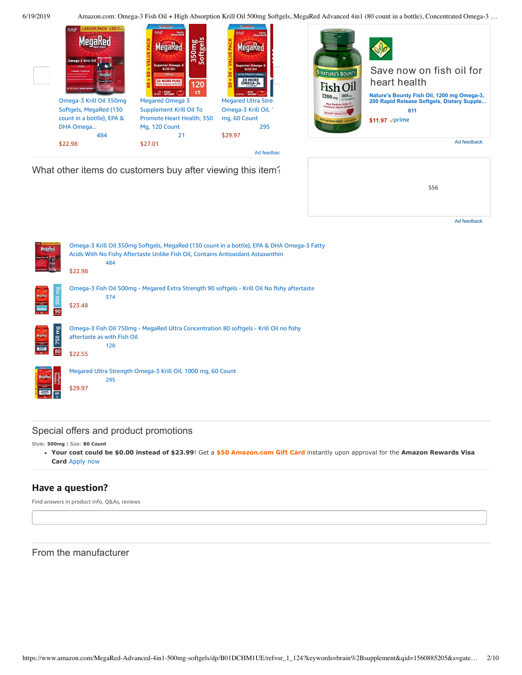

What other items do customers buy after viewing this item?





# Special offers and product promotions

Style: **500mg** | Size: **80 Count**

**[Your cost could be \\$0.00 instead of \\$23.99](https://www.amazon.com/gp/cobrandcard/marketing.html?pr=con321&inc=50gcUnrec&ts=1i8cv513gpdvl0fvld90xfb16ghxlo4&dasin=B01DCHM1UE&plattr=math&place=detailpage&imp=6b172d4c-2830-44da-a450-517f6f4b8def)**! Get a **\$50 Amazon.com Gift Card** instantly upon approval for the **Amazon Rewards Visa Card** Apply now

# **Have a question?**

Find answers in product info, Q&As, reviews

From the manufacturer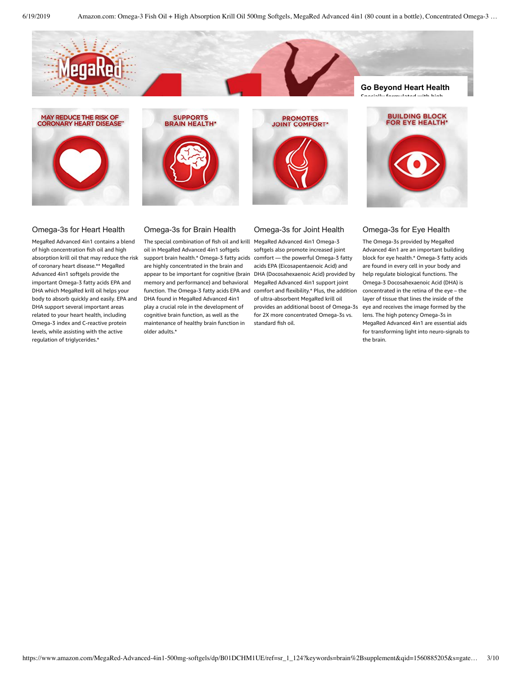







# Omega-3s for Eye Health

The Omega-3s provided by MegaRed Advanced 4in1 are an important building block for eye health.\* Omega-3 fatty acids are found in every cell in your body and help regulate biological functions. The Omega-3 Docosahexaenoic Acid (DHA) is concentrated in the retina of the eye – the layer of tissue that lines the inside of the eye and receives the image formed by the lens. The high potency Omega-3s in MegaRed Advanced 4in1 are essential aids for transforming light into neuro-signals to the brain.

## Omega-3s for Heart Health

MegaRed Advanced 4in1 contains a blend of high concentration fish oil and high absorption krill oil that may reduce the risk of coronary heart disease.\*\* MegaRed Advanced 4in1 softgels provide the important Omega-3 fatty acids EPA and DHA which MegaRed krill oil helps your body to absorb quickly and easily. EPA and DHA support several important areas related to your heart health, including Omega-3 index and C-reactive protein levels, while assisting with the active regulation of triglycerides.\*

Omega-3s for Brain Health

The special combination of fish oil and krill MegaRed Advanced 4in1 Omega-3 oil in MegaRed Advanced 4in1 softgels support brain health.\* Omega-3 fatty acids comfort — the powerful Omega-3 fatty are highly concentrated in the brain and appear to be important for cognitive (brain DHA (Docosahexaenoic Acid) provided by memory and performance) and behavioral MegaRed Advanced 4in1 support joint function. The Omega-3 fatty acids EPA and comfort and flexibility.\* Plus, the addition DHA found in MegaRed Advanced 4in1 play a crucial role in the development of cognitive brain function, as well as the maintenance of healthy brain function in older adults.\*

# Omega-3s for Joint Health

softgels also promote increased joint acids EPA (Eicosapentaenoic Acid) and of ultra-absorbent MegaRed krill oil provides an additional boost of Omega-3s for 2X more concentrated Omega-3s vs. standard fish oil.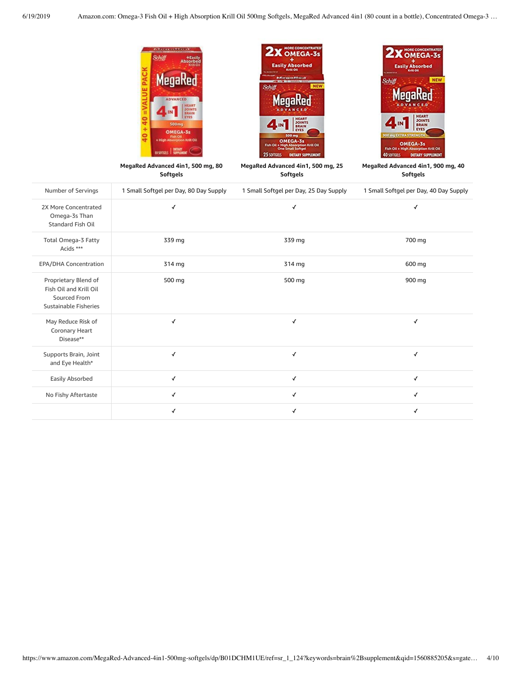

|                                                                                         | <b>Softgels</b>                        | Softgels                               | Softgels                               |
|-----------------------------------------------------------------------------------------|----------------------------------------|----------------------------------------|----------------------------------------|
| Number of Servings                                                                      | 1 Small Softgel per Day, 80 Day Supply | 1 Small Softgel per Day, 25 Day Supply | 1 Small Softgel per Day, 40 Day Supply |
| 2X More Concentrated<br>Omega-3s Than<br>Standard Fish Oil                              | ✓                                      | $\checkmark$                           | √                                      |
| Total Omega-3 Fatty<br>Acids ***                                                        | 339 mg                                 | 339 mg                                 | 700 mg                                 |
| EPA/DHA Concentration                                                                   | 314 mg                                 | 314 mg                                 | 600 mg                                 |
| Proprietary Blend of<br>Fish Oil and Krill Oil<br>Sourced From<br>Sustainable Fisheries | 500 mg                                 | 500 mg                                 | 900 mg                                 |
| May Reduce Risk of<br>Coronary Heart<br>Disease**                                       | ✓                                      | ✓                                      | $\checkmark$                           |
| Supports Brain, Joint<br>and Eye Health*                                                | √                                      | $\checkmark$                           | $\checkmark$                           |
| Easily Absorbed                                                                         | √                                      | $\checkmark$                           | $\checkmark$                           |
| No Fishy Aftertaste                                                                     | √                                      | $\checkmark$                           | $\checkmark$                           |
|                                                                                         | ✓                                      | √                                      | ✓                                      |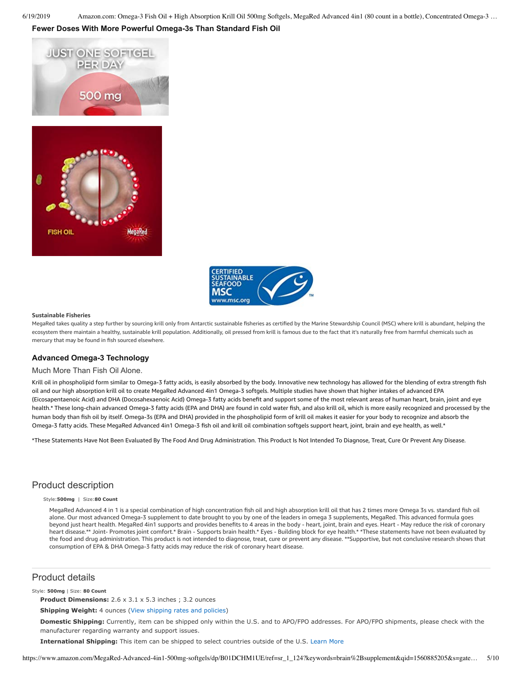## **Fewer Doses With More Powerful Omega-3s Than Standard Fish Oil**







#### **Sustainable Fisheries**

MegaRed takes quality a step further by sourcing krill only from Antarctic sustainable fisheries as certified by the Marine Stewardship Council (MSC) where krill is abundant, helping the ecosystem there maintain a healthy, sustainable krill population. Additionally, oil pressed from krill is famous due to the fact that it's naturally free from harmful chemicals such as mercury that may be found in fish sourced elsewhere.

## **Advanced Omega-3 Technology**

#### Much More Than Fish Oil Alone.

Krill oil in phospholipid form similar to Omega-3 fatty acids, is easily absorbed by the body. Innovative new technology has allowed for the blending of extra strength fish oil and our high absorption krill oil to create MegaRed Advanced 4in1 Omega-3 softgels. Multiple studies have shown that higher intakes of advanced EPA (Eicosapentaenoic Acid) and DHA (Docosahexaenoic Acid) Omega-3 fatty acids benefit and support some of the most relevant areas of human heart, brain, joint and eye health.\* These long-chain advanced Omega-3 fatty acids (EPA and DHA) are found in cold water fish, and also krill oil, which is more easily recognized and processed by the human body than fish oil by itself. Omega-3s (EPA and DHA) provided in the phospholipid form of krill oil makes it easier for your body to recognize and absorb the Omega-3 fatty acids. These MegaRed Advanced 4in1 Omega-3 fish oil and krill oil combination softgels support heart, joint, brain and eye health, as well.\*

\*These Statements Have Not Been Evaluated By The Food And Drug Administration. This Product Is Not Intended To Diagnose, Treat, Cure Or Prevent Any Disease.

# Product description

#### Style:**500mg** | Size:**80 Count**

MegaRed Advanced 4 in 1 is a special combination of high concentration fish oil and high absorption krill oil that has 2 times more Omega 3s vs. standard fish oil alone. Our most advanced Omega-3 supplement to date brought to you by one of the leaders in omega 3 supplements, MegaRed. This advanced formula goes beyond just heart health. MegaRed 4in1 supports and provides benefits to 4 areas in the body - heart, joint, brain and eyes. Heart - May reduce the risk of coronary heart disease.\*\* Joint- Promotes joint comfort.\* Brain - Supports brain health.\* Eyes - Building block for eye health.\* \*These statements have not been evaluated by the food and drug administration. This product is not intended to diagnose, treat, cure or prevent any disease. \*\*Supportive, but not conclusive research shows that consumption of EPA & DHA Omega-3 fatty acids may reduce the risk of coronary heart disease.

## Product details

#### Style: **500mg** | Size: **80 Count**

**Product Dimensions:** 2.6 x 3.1 x 5.3 inches ; 3.2 ounces

#### **Shipping Weight:** 4 ounces [\(View shipping rates and policies\)](https://www.amazon.com/gp/help/seller/shipping.html/ref=dp_pd_shipping?ie=UTF8&asin=B01DCHM1UE&seller=ATVPDKIKX0DER)

**Domestic Shipping:** Currently, item can be shipped only within the U.S. and to APO/FPO addresses. For APO/FPO shipments, please check with the manufacturer regarding warranty and support issues.

**International Shipping:** This item can be shipped to select countries outside of the U.S. [Learn More](https://www.amazon.com/gp/help/customer/display.html?ie=UTF8&nodeId=201117930&pop-up=1)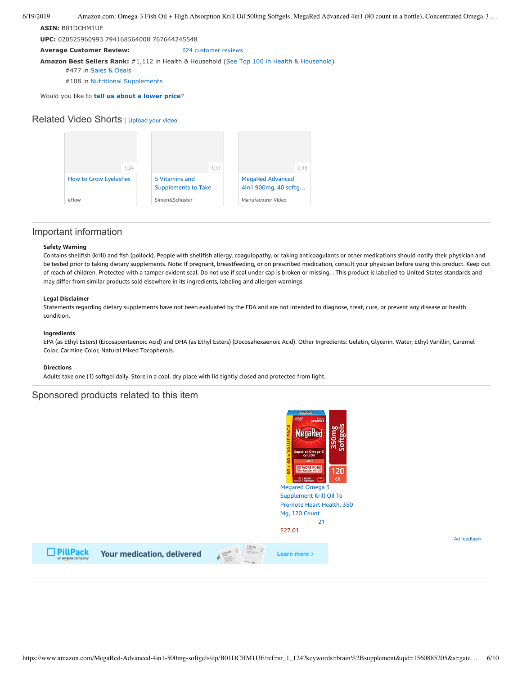#### **ASIN:** B01DCHM1UE

**UPC:** 020525960993 794168564008 767644245548

**Average Customer Review:** [624 customer reviews](https://www.amazon.com/product-reviews/B01DCHM1UE/ref=acr_dpproductdetail_text?ie=UTF8&showViewpoints=1)

**Amazon Best Sellers Rank:** #1,112 in Health & Household [\(See Top 100 in Health & Household](https://www.amazon.com/gp/bestsellers/hpc/ref=pd_zg_ts_hpc))

#477 in [Sales & Deals](https://www.amazon.com/gp/bestsellers/hpc/353413011/ref=pd_zg_hrsr_hpc)

#108 in [Nutritional Supplements](https://www.amazon.com/gp/bestsellers/hpc/6939426011/ref=pd_zg_hrsr_hpc)

Would you like to **tell us about a lower price**?

## Related Video Shorts | [Upload](https://www.amazon.com/creatorhub/video/upload?productASIN=B01DCHM1UE&referringURL=ZHAvQjAxRENITTFVRQ%3D%3D&ref=RVSW) your video



## Important information

#### **Safety Warning**

Contains shellfish (krill) and fish (pollock). People with shellfish allergy, coagulopathy, or taking anticoagulants or other medications should notify their physician and be tested prior to taking dietary supplements. Note: If pregnant, breastfeeding, or on prescribed medication, consult your physician before using this product. Keep out of reach of children. Protected with a tamper evident seal. Do not use if seal under cap is broken or missing. . This product is labelled to United States standards and may differ from similar products sold elsewhere in its ingredients, labeling and allergen warnings

#### **Legal Disclaimer**

Statements regarding dietary supplements have not been evaluated by the FDA and are not intended to diagnose, treat, cure, or prevent any disease or health condition.

#### **Ingredients**

EPA (as Ethyl Esters) (Eicosapentaenoic Acid) and DHA (as Ethyl Esters) (Docosahexaenoic Acid). Other Ingredients: Gelatin, Glycerin, Water, Ethyl Vanillin, Caramel Color, Carmine Color, Natural Mixed Tocopherols.

#### **Directions**

Adults take one (1) softgel daily. Store in a cool, dry place with lid tightly closed and protected from light.

## Sponsored products related to this item



 $\Box$  PillPack

Your medication, delivered



Ad feedback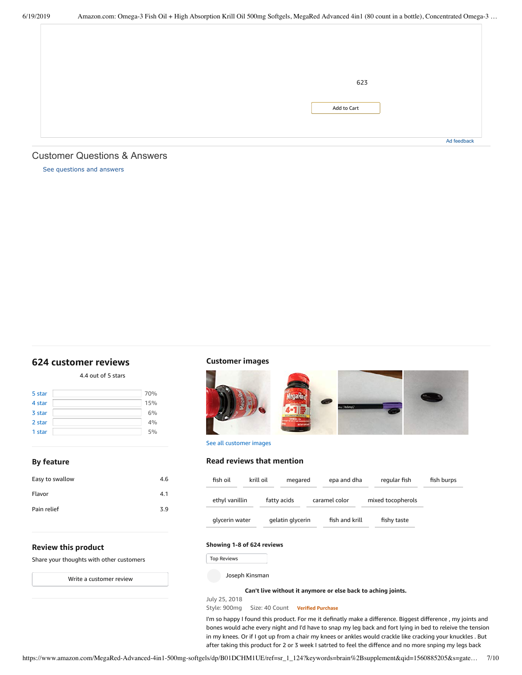| 623         |             |
|-------------|-------------|
|             |             |
|             |             |
|             |             |
|             |             |
|             |             |
| Add to Cart |             |
|             |             |
|             |             |
|             |             |
|             |             |
|             |             |
|             |             |
|             | Ad feedback |
|             |             |

## <span id="page-6-1"></span>Customer Questions & Answers

[See questions and answers](https://www.amazon.com/ask/questions/asin/B01DCHM1UE/ref=cm_cd_dp_lla_ql_ll)

# <span id="page-6-0"></span>**[624 customer](https://www.amazon.com/Absorption-Softgels-Advanced-Concentrated-Supplement/product-reviews/B01DCHM1UE/ref=cm_cr_dp_d_show_all_top?ie=UTF8&reviewerType=all_reviews) reviews**

4.4 out of 5 [stars](javascript:void(0))

| 5 star | 70% |
|--------|-----|
| 4 star | 15% |
| 3 star | 6%  |
| 2 star | 4%  |
| 1 star | 5%  |
|        |     |

## **By feature**

| Easy to swallow | 4.6 |
|-----------------|-----|
| Flavor          | 4.1 |
| Pain relief     | 3.9 |
|                 |     |

# **Customer images**



See all customer images

## **Read reviews that mention**

| fish oil       | krill oil | megared          | epa and dha    | regular fish      | fish burps |
|----------------|-----------|------------------|----------------|-------------------|------------|
| ethyl vanillin |           | fatty acids      | caramel color  | mixed tocopherols |            |
| glycerin water |           | gelatin glycerin | fish and krill | fishy taste       |            |

## **Review this product**

Share your thoughts with other customers

Write a [customer](https://www.amazon.com/review/create-review/ref=cm_cr_dp_d_wr_but_top?ie=UTF8&channel=glance-detail&asin=B01DCHM1UE) review

## **Showing 1-8 of 624 reviews**

Top Reviews

July 25, 2018

Joseph Kinsman

**Can't live without it [anymore](https://www.amazon.com/gp/customer-reviews/RP66EL515H5RS/ref=cm_cr_dp_d_rvw_ttl?ie=UTF8&ASIN=B01DCHM1UE) or else back to aching joints.**

Style: 900mg Size: 40 Count **Verified Purchase**

Fop Reviews<br>
Fop Reviews<br>
Joseph Kinsman<br>
Can't live without it anymore or else back to aching joints.<br>
July 25, 2018<br>
Style: 900mg Size: 40 Count<br>
I'm so happy I found this product. For me it definatly make a difference. I'm so happy I found this product. For me it definatly make a difference. Biggest difference , my joints and bones would ache every night and I'd have to snap my leg back and fort lying in bed to releive the tension in my knees. Or if I got up from a chair my knees or ankles would crackle like cracking your knuckles . But after taking this product for 2 or 3 week I satrted to feel the diffence and no more snping my legs back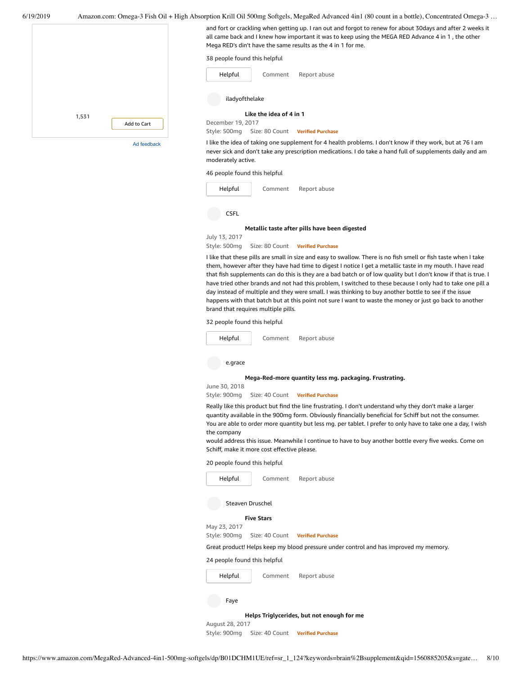

never sick and don't take any prescription medications. I do take a hand full of supplements daily and am moderately active.

46 people found this helpful



July 13, 2017

Style: 500mg Size: 80 Count **Verified Purchase**

I like that these pills are small in size and easy to swallow. There is no fish smell or fish taste when I take them, however after they have had time to digest I notice I get a metallic taste in my mouth. I have read that fish supplements can do this is they are a bad batch or of low quality but I don't know if that is true. I have tried other brands and not had this problem, I switched to these because I only had to take one pill a day instead of multiple and they were small. I was thinking to buy another bottle to see if the issue happens with that batch but at this point not sure I want to waste the money or just go back to another brand that requires multiple pills.

32 people found this helpful



Style: 900mg Size: 40 Count **Verified Purchase**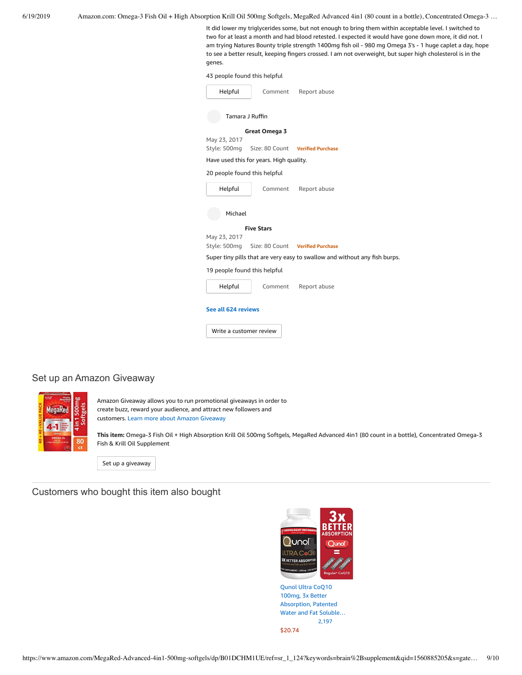It did lower my triglycerides some, but not enough to bring them within acceptable level. I switched to two for at least a month and had blood retested. I expected it would have gone down more, it did not. I am trying Natures Bounty triple strength 1400mg fish oil - 980 mg Omega 3's - 1 huge caplet a day, hope to see a better result, keeping fingers crossed. I am not overweight, but super high cholesterol is in the genes.

43 people found this helpful

| Helpful                                                                    | Comment                                 | Report abuse                                  |  |  |
|----------------------------------------------------------------------------|-----------------------------------------|-----------------------------------------------|--|--|
| Tamara J Ruffin                                                            |                                         |                                               |  |  |
|                                                                            | Great Omega 3                           |                                               |  |  |
| May 23, 2017                                                               |                                         |                                               |  |  |
|                                                                            |                                         | Style: 500mg Size: 80 Count Verified Purchase |  |  |
|                                                                            | Have used this for years. High quality. |                                               |  |  |
| 20 people found this helpful                                               |                                         |                                               |  |  |
| Helpful                                                                    | Comment                                 | Report abuse                                  |  |  |
| Michael                                                                    |                                         |                                               |  |  |
|                                                                            | <b>Five Stars</b>                       |                                               |  |  |
| May 23, 2017                                                               |                                         |                                               |  |  |
|                                                                            |                                         | Style: 500mg Size: 80 Count Verified Purchase |  |  |
| Super tiny pills that are very easy to swallow and without any fish burps. |                                         |                                               |  |  |
| 19 people found this helpful                                               |                                         |                                               |  |  |
| Helpful                                                                    | Comment                                 | Report abuse                                  |  |  |
| See all 624 reviews                                                        |                                         |                                               |  |  |
| Write a customer review                                                    |                                         |                                               |  |  |
|                                                                            |                                         |                                               |  |  |

# Set up an Amazon Giveaway



Amazon Giveaway allows you to run promotional giveaways in order to create buzz, reward your audience, and attract new followers and customers. Learn more about Amazon [Giveaway](https://www.amazon.com/gp/giveaway/home?ref=aga_dp_lm)

**This item:** Omega-3 Fish Oil + High Absorption Krill Oil 500mg Softgels, MegaRed Advanced 4in1 (80 count in a bottle), Concentrated Omega-3 Fish & Krill Oil Supplement

Set up a [giveaway](https://www.amazon.com/giveaway/host/setup/ref=aga_h_su_dp?_encoding=UTF8&asin=B01DCHM1UE)

Customers who bought this item also bought



[Absorption,](https://www.amazon.com/Qunol-Absorption-Patented-Supplement-Antioxidant/dp/B0055OUOQQ/ref=pd_sim_121_1/143-6729050-3493109?_encoding=UTF8&pd_rd_i=B0055OUOQQ&pd_rd_r=9b06df46-92b7-11e9-a60b-f7cc7fdabce1&pd_rd_w=6SzNq&pd_rd_wg=ay1BH&pf_rd_p=90485860-83e9-4fd9-b838-b28a9b7fda30&pf_rd_r=5C7PVTJNH25RYCCWKC35&psc=1&refRID=5C7PVTJNH25RYCCWKC35) Patented Water and Fat Soluble… [2,197](https://www.amazon.com/product-reviews/B0055OUOQQ/ref=pd_sim_121_cr_1/143-6729050-3493109?ie=UTF8&pd_rd_i=B0055OUOQQ&pd_rd_r=9b06df46-92b7-11e9-a60b-f7cc7fdabce1&pd_rd_w=6SzNq&pd_rd_wg=ay1BH&pf_rd_p=90485860-83e9-4fd9-b838-b28a9b7fda30&pf_rd_r=5C7PVTJNH25RYCCWKC35&refRID=5C7PVTJNH25RYCCWKC35) [\\$20.74](https://www.amazon.com/Qunol-Absorption-Patented-Supplement-Antioxidant/dp/B0055OUOQQ/ref=pd_sim_121_1/143-6729050-3493109?_encoding=UTF8&pd_rd_i=B0055OUOQQ&pd_rd_r=9b06df46-92b7-11e9-a60b-f7cc7fdabce1&pd_rd_w=6SzNq&pd_rd_wg=ay1BH&pf_rd_p=90485860-83e9-4fd9-b838-b28a9b7fda30&pf_rd_r=5C7PVTJNH25RYCCWKC35&psc=1&refRID=5C7PVTJNH25RYCCWKC35)